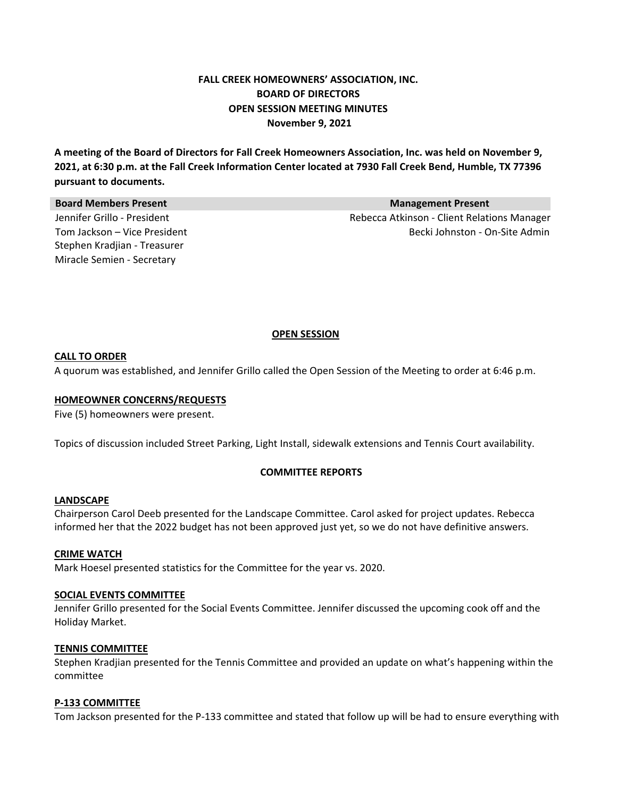# **FALL CREEK HOMEOWNERS' ASSOCIATION, INC. BOARD OF DIRECTORS OPEN SESSION MEETING MINUTES November 9, 2021**

A meeting of the Board of Directors for Fall Creek Homeowners Association, Inc. was held on November 9, 2021, at 6:30 p.m. at the Fall Creek Information Center located at 7930 Fall Creek Bend, Humble, TX 77396 **pursuant to documents.**

| <b>Board Members Present</b> | <b>Management Present</b>                   |
|------------------------------|---------------------------------------------|
| Jennifer Grillo - President  | Rebecca Atkinson - Client Relations Manager |
| Tom Jackson – Vice President | Becki Johnston - On-Site Admin              |
| Stephen Kradjian - Treasurer |                                             |
| Miracle Semien - Secretary   |                                             |

# **OPEN SESSION**

# **CALL TO ORDER**

A quorum was established, and Jennifer Grillo called the Open Session of the Meeting to order at 6:46 p.m.

#### **HOMEOWNER CONCERNS/REQUESTS**

Five (5) homeowners were present.

Topics of discussion included Street Parking, Light Install, sidewalk extensions and Tennis Court availability.

### **COMMITTEE REPORTS**

#### **LANDSCAPE**

Chairperson Carol Deeb presented for the Landscape Committee. Carol asked for project updates. Rebecca informed her that the 2022 budget has not been approved just yet, so we do not have definitive answers.

#### **CRIME WATCH**

Mark Hoesel presented statistics for the Committee for the year vs. 2020.

#### **SOCIAL EVENTS COMMITTEE**

Jennifer Grillo presented for the Social Events Committee. Jennifer discussed the upcoming cook off and the Holiday Market.

#### **TENNIS COMMITTEE**

Stephen Kradjian presented for the Tennis Committee and provided an update on what's happening within the committee

# **P‐133 COMMITTEE**

Tom Jackson presented for the P‐133 committee and stated that follow up will be had to ensure everything with